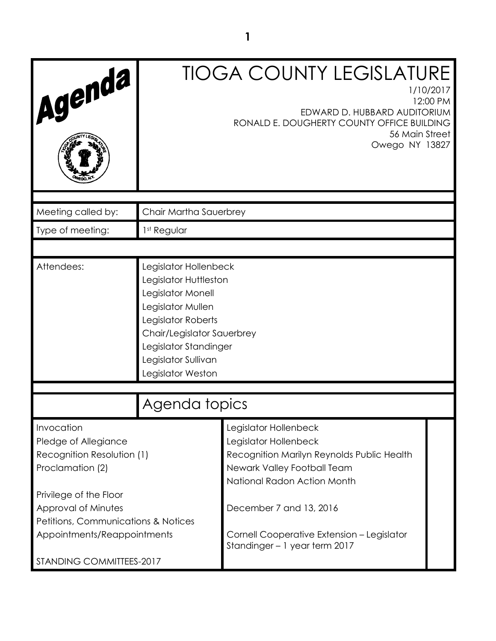|                                                                                      |                                                                                                                                                                                                                   | <b>TIOGA COUNTY LEGISLATURE</b><br>1/10/2017                                                                                                               |  |
|--------------------------------------------------------------------------------------|-------------------------------------------------------------------------------------------------------------------------------------------------------------------------------------------------------------------|------------------------------------------------------------------------------------------------------------------------------------------------------------|--|
| Agenda                                                                               | 12:00 PM<br>EDWARD D. HUBBARD AUDITORIUM<br>RONALD E. DOUGHERTY COUNTY OFFICE BUILDING<br>56 Main Street<br>Owego NY 13827                                                                                        |                                                                                                                                                            |  |
| Meeting called by:                                                                   | Chair Martha Sauerbrey                                                                                                                                                                                            |                                                                                                                                                            |  |
| Type of meeting:                                                                     | 1st Regular                                                                                                                                                                                                       |                                                                                                                                                            |  |
|                                                                                      |                                                                                                                                                                                                                   |                                                                                                                                                            |  |
| Attendees:                                                                           | Legislator Hollenbeck<br>Legislator Huttleston<br>Legislator Monell<br>Legislator Mullen<br>Legislator Roberts<br>Chair/Legislator Sauerbrey<br>Legislator Standinger<br>Legislator Sullivan<br>Legislator Weston |                                                                                                                                                            |  |
|                                                                                      | Agenda topics                                                                                                                                                                                                     |                                                                                                                                                            |  |
| Invocation<br>Pledge of Allegiance<br>Recognition Resolution (1)<br>Proclamation (2) |                                                                                                                                                                                                                   | Legislator Hollenbeck<br>Legislator Hollenbeck<br>Recognition Marilyn Reynolds Public Health<br>Newark Valley Football Team<br>National Radon Action Month |  |
| Privilege of the Floor<br>Approval of Minutes<br>Petitions, Communications & Notices |                                                                                                                                                                                                                   | December 7 and 13, 2016                                                                                                                                    |  |
| Appointments/Reappointments                                                          |                                                                                                                                                                                                                   | Cornell Cooperative Extension - Legislator<br>Standinger - 1 year term 2017                                                                                |  |
| STANDING COMMITTEES-2017                                                             |                                                                                                                                                                                                                   |                                                                                                                                                            |  |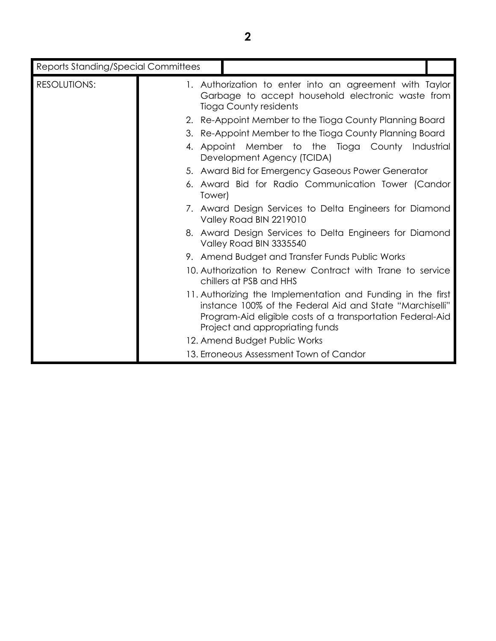| <b>Reports Standing/Special Committees</b> |                                                                                                                                                                                                                                                                                                                                                                                                                                                                                                                                                                                                                                                                                                                                                                                                                                                                                                                                                                                             |
|--------------------------------------------|---------------------------------------------------------------------------------------------------------------------------------------------------------------------------------------------------------------------------------------------------------------------------------------------------------------------------------------------------------------------------------------------------------------------------------------------------------------------------------------------------------------------------------------------------------------------------------------------------------------------------------------------------------------------------------------------------------------------------------------------------------------------------------------------------------------------------------------------------------------------------------------------------------------------------------------------------------------------------------------------|
| <b>RESOLUTIONS:</b>                        | 1. Authorization to enter into an agreement with Taylor<br>Garbage to accept household electronic waste from<br><b>Tioga County residents</b><br>2. Re-Appoint Member to the Tioga County Planning Board<br>3. Re-Appoint Member to the Tioga County Planning Board<br>4. Appoint Member to the Tioga County Industrial<br>Development Agency (TCIDA)<br>5. Award Bid for Emergency Gaseous Power Generator<br>6. Award Bid for Radio Communication Tower (Candor<br>Tower)<br>7. Award Design Services to Delta Engineers for Diamond<br>Valley Road BIN 2219010<br>8. Award Design Services to Delta Engineers for Diamond<br>Valley Road BIN 3335540<br>9. Amend Budget and Transfer Funds Public Works<br>10. Authorization to Renew Contract with Trane to service<br>chillers at PSB and HHS<br>11. Authorizing the Implementation and Funding in the first<br>instance 100% of the Federal Aid and State "Marchiselli"<br>Program-Aid eligible costs of a transportation Federal-Aid |
|                                            | Project and appropriating funds<br>12. Amend Budget Public Works                                                                                                                                                                                                                                                                                                                                                                                                                                                                                                                                                                                                                                                                                                                                                                                                                                                                                                                            |
|                                            | 13. Erroneous Assessment Town of Candor                                                                                                                                                                                                                                                                                                                                                                                                                                                                                                                                                                                                                                                                                                                                                                                                                                                                                                                                                     |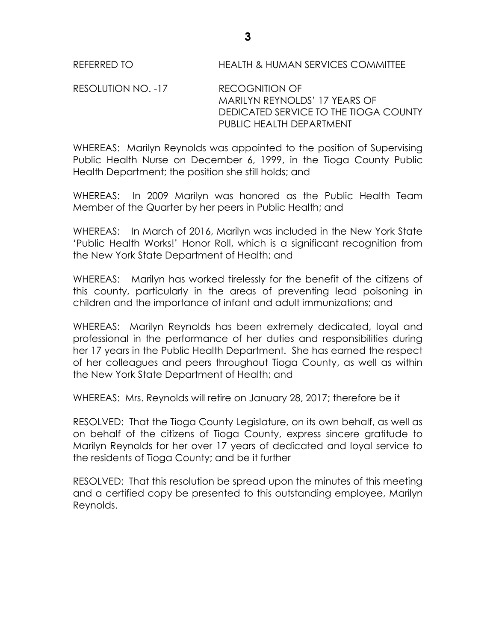REFERRED TO HEALTH & HUMAN SERVICES COMMITTEE

RESOLUTION NO. -17 RECOGNITION OF MARILYN REYNOLDS' 17 YEARS OF DEDICATED SERVICE TO THE TIOGA COUNTY PUBLIC HEALTH DEPARTMENT

WHEREAS: Marilyn Reynolds was appointed to the position of Supervising Public Health Nurse on December 6, 1999, in the Tioga County Public Health Department; the position she still holds; and

WHEREAS: In 2009 Marilyn was honored as the Public Health Team Member of the Quarter by her peers in Public Health; and

WHEREAS: In March of 2016, Marilyn was included in the New York State 'Public Health Works!' Honor Roll, which is a significant recognition from the New York State Department of Health; and

WHEREAS: Marilyn has worked tirelessly for the benefit of the citizens of this county, particularly in the areas of preventing lead poisoning in children and the importance of infant and adult immunizations; and

WHEREAS: Marilyn Reynolds has been extremely dedicated, loyal and professional in the performance of her duties and responsibilities during her 17 years in the Public Health Department. She has earned the respect of her colleagues and peers throughout Tioga County, as well as within the New York State Department of Health; and

WHEREAS: Mrs. Reynolds will retire on January 28, 2017; therefore be it

RESOLVED: That the Tioga County Legislature, on its own behalf, as well as on behalf of the citizens of Tioga County, express sincere gratitude to Marilyn Reynolds for her over 17 years of dedicated and loyal service to the residents of Tioga County; and be it further

RESOLVED: That this resolution be spread upon the minutes of this meeting and a certified copy be presented to this outstanding employee, Marilyn Reynolds.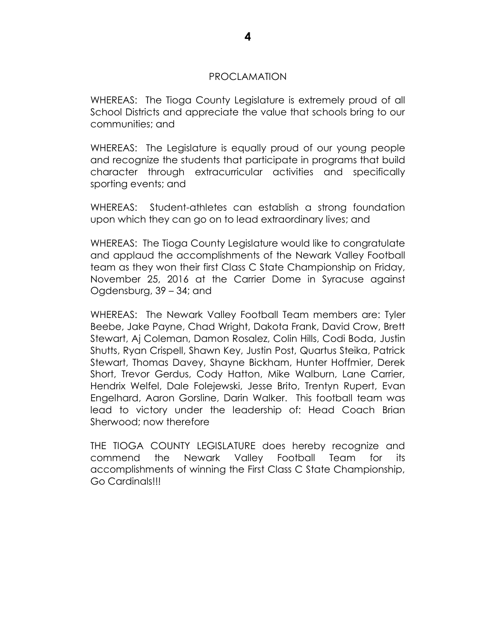#### PROCLAMATION

WHEREAS: The Tioga County Legislature is extremely proud of all School Districts and appreciate the value that schools bring to our communities; and

WHEREAS: The Legislature is equally proud of our young people and recognize the students that participate in programs that build character through extracurricular activities and specifically sporting events; and

WHEREAS: Student-athletes can establish a strong foundation upon which they can go on to lead extraordinary lives; and

WHEREAS: The Tioga County Legislature would like to congratulate and applaud the accomplishments of the Newark Valley Football team as they won their first Class C State Championship on Friday, November 25, 2016 at the Carrier Dome in Syracuse against Ogdensburg, 39 – 34; and

WHEREAS: The Newark Valley Football Team members are: Tyler Beebe, Jake Payne, Chad Wright, Dakota Frank, David Crow, Brett Stewart, Aj Coleman, Damon Rosalez, Colin Hills, Codi Boda, Justin Shutts, Ryan Crispell, Shawn Key, Justin Post, Quartus Steika, Patrick Stewart, Thomas Davey, Shayne Bickham, Hunter Hoffmier, Derek Short, Trevor Gerdus, Cody Hatton, Mike Walburn, Lane Carrier, Hendrix Welfel, Dale Folejewski, Jesse Brito, Trentyn Rupert, Evan Engelhard, Aaron Gorsline, Darin Walker. This football team was lead to victory under the leadership of: Head Coach Brian Sherwood; now therefore

THE TIOGA COUNTY LEGISLATURE does hereby recognize and commend the Newark Valley Football Team for its accomplishments of winning the First Class C State Championship, Go Cardinals!!!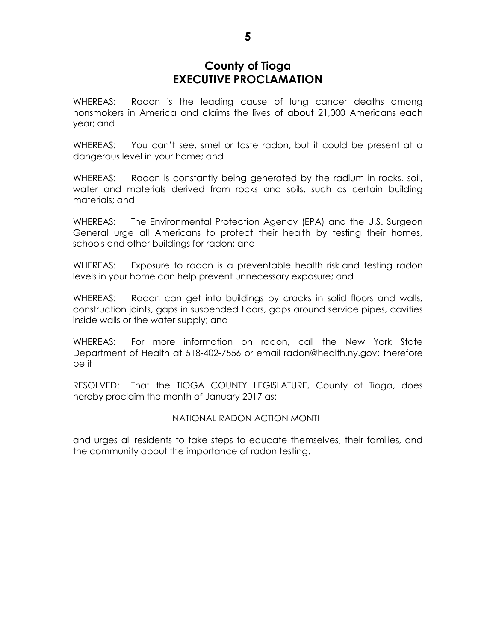# **County of Tioga EXECUTIVE PROCLAMATION**

WHEREAS: Radon is the leading cause of lung cancer deaths among nonsmokers in America and claims the lives of about 21,000 Americans each year; and

WHEREAS: You can't see, smell or taste radon, but it could be present at a dangerous level in your home; and

WHEREAS: Radon is constantly being generated by the radium in rocks, soil, water and materials derived from rocks and soils, such as certain building materials; and

WHEREAS: The Environmental Protection Agency (EPA) and the U.S. Surgeon General urge all Americans to protect their health by testing their homes, schools and other buildings for radon; and

WHEREAS: Exposure to radon is a preventable health risk and testing radon levels in your home can help prevent unnecessary exposure; and

WHEREAS: Radon can get into buildings by cracks in solid floors and walls, construction joints, gaps in suspended floors, gaps around service pipes, cavities inside walls or the water supply; and

WHEREAS: For more information on radon, call the New York State Department of Health at 518-402-7556 or email [radon@health.ny.gov;](mailto:radon@health.ny.gov) therefore be it

RESOLVED: That the TIOGA COUNTY LEGISLATURE, County of Tioga, does hereby proclaim the month of January 2017 as:

#### NATIONAL RADON ACTION MONTH

and urges all residents to take steps to educate themselves, their families, and the community about the importance of radon testing.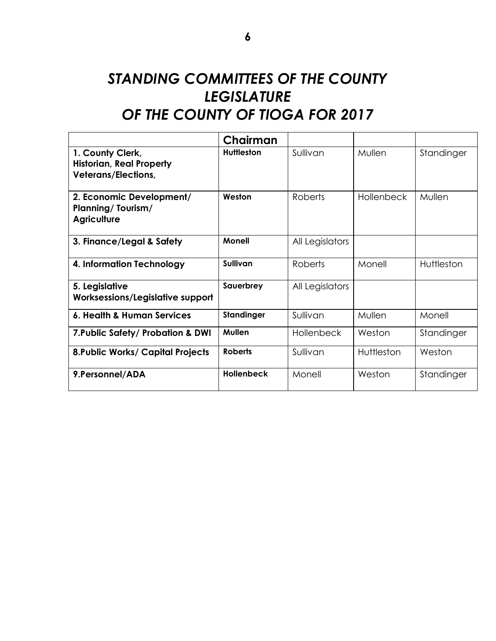# *STANDING COMMITTEES OF THE COUNTY LEGISLATURE OF THE COUNTY OF TIOGA FOR 2017*

|                                                                                   | Chairman          |                   |                   |            |
|-----------------------------------------------------------------------------------|-------------------|-------------------|-------------------|------------|
| 1. County Clerk,<br><b>Historian, Real Property</b><br><b>Veterans/Elections,</b> | <b>Huttleston</b> | Sullivan          | Mullen            | Standinger |
| 2. Economic Development/<br><b>Planning/Tourism/</b><br><b>Agriculture</b>        | Weston            | <b>Roberts</b>    | <b>Hollenbeck</b> | Mullen     |
| 3. Finance/Legal & Safety                                                         | <b>Monell</b>     | All Legislators   |                   |            |
| 4. Information Technology                                                         | Sullivan          | Roberts           | Monell            | Huttleston |
| 5. Legislative<br>Worksessions/Legislative support                                | Sauerbrey         | All Legislators   |                   |            |
| 6. Health & Human Services                                                        | Standinger        | Sullivan          | Mullen            | Monell     |
| 7. Public Safety/ Probation & DWI                                                 | Mullen            | <b>Hollenbeck</b> | Weston            | Standinger |
| <b>8. Public Works/ Capital Projects</b>                                          | <b>Roberts</b>    | Sullivan          | Huttleston        | Weston     |
| 9.Personnel/ADA                                                                   | <b>Hollenbeck</b> | Monell            | Weston            | Standinger |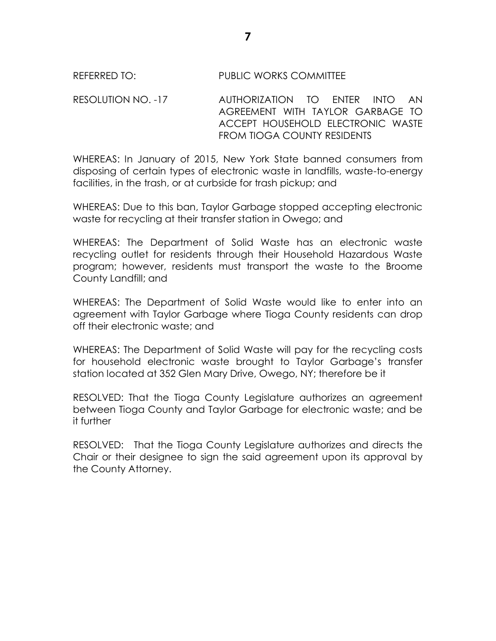#### RESOLUTION NO. -17 AUTHORIZATION TO ENTER INTO AN AGREEMENT WITH TAYLOR GARBAGE TO ACCEPT HOUSEHOLD ELECTRONIC WASTE FROM TIOGA COUNTY RESIDENTS

WHEREAS: In January of 2015, New York State banned consumers from disposing of certain types of electronic waste in landfills, waste-to-energy facilities, in the trash, or at curbside for trash pickup; and

WHEREAS: Due to this ban, Taylor Garbage stopped accepting electronic waste for recycling at their transfer station in Owego; and

WHEREAS: The Department of Solid Waste has an electronic waste recycling outlet for residents through their Household Hazardous Waste program; however, residents must transport the waste to the Broome County Landfill; and

WHEREAS: The Department of Solid Waste would like to enter into an agreement with Taylor Garbage where Tioga County residents can drop off their electronic waste; and

WHEREAS: The Department of Solid Waste will pay for the recycling costs for household electronic waste brought to Taylor Garbage's transfer station located at 352 Glen Mary Drive, Owego, NY; therefore be it

RESOLVED: That the Tioga County Legislature authorizes an agreement between Tioga County and Taylor Garbage for electronic waste; and be it further

RESOLVED: That the Tioga County Legislature authorizes and directs the Chair or their designee to sign the said agreement upon its approval by the County Attorney.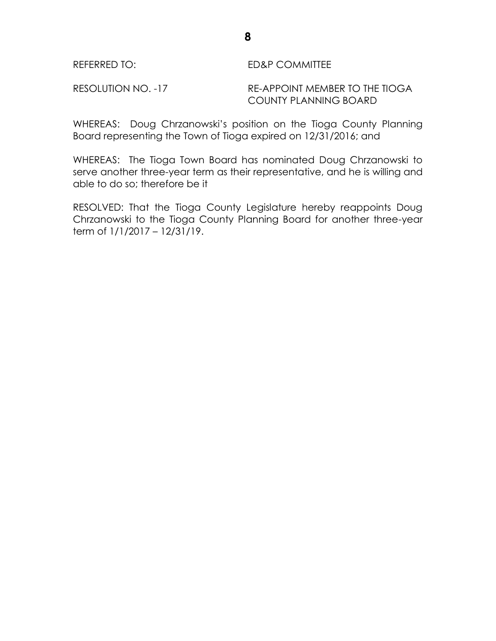### REFERRED TO: ED&P COMMITTEE

RESOLUTION NO. -17 RE-APPOINT MEMBER TO THE TIOGA COUNTY PLANNING BOARD

WHEREAS: Doug Chrzanowski's position on the Tioga County Planning Board representing the Town of Tioga expired on 12/31/2016; and

WHEREAS: The Tioga Town Board has nominated Doug Chrzanowski to serve another three-year term as their representative, and he is willing and able to do so; therefore be it

RESOLVED: That the Tioga County Legislature hereby reappoints Doug Chrzanowski to the Tioga County Planning Board for another three-year term of 1/1/2017 – 12/31/19.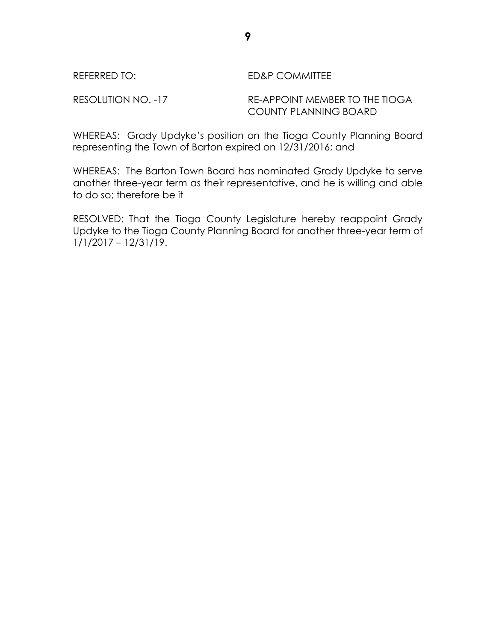#### REFERRED TO: ED&P COMMITTEE

RESOLUTION NO. -17 RE-APPOINT MEMBER TO THE TIOGA COUNTY PLANNING BOARD

WHEREAS: Grady Updyke's position on the Tioga County Planning Board representing the Town of Barton expired on 12/31/2016; and

WHEREAS: The Barton Town Board has nominated Grady Updyke to serve another three-year term as their representative, and he is willing and able to do so; therefore be it

RESOLVED: That the Tioga County Legislature hereby reappoint Grady Updyke to the Tioga County Planning Board for another three-year term of 1/1/2017 – 12/31/19.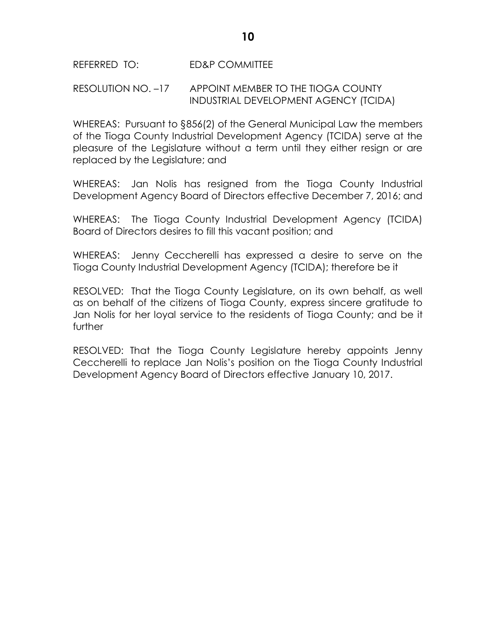REFERRED TO: ED&P COMMITTEE

#### RESOLUTION NO. –17 APPOINT MEMBER TO THE TIOGA COUNTY INDUSTRIAL DEVELOPMENT AGENCY (TCIDA)

WHEREAS: Pursuant to §856(2) of the General Municipal Law the members of the Tioga County Industrial Development Agency (TCIDA) serve at the pleasure of the Legislature without a term until they either resign or are replaced by the Legislature; and

WHEREAS: Jan Nolis has resigned from the Tioga County Industrial Development Agency Board of Directors effective December 7, 2016; and

WHEREAS: The Tioga County Industrial Development Agency (TCIDA) Board of Directors desires to fill this vacant position; and

WHEREAS: Jenny Ceccherelli has expressed a desire to serve on the Tioga County Industrial Development Agency (TCIDA); therefore be it

RESOLVED: That the Tioga County Legislature, on its own behalf, as well as on behalf of the citizens of Tioga County, express sincere gratitude to Jan Nolis for her loyal service to the residents of Tioga County; and be it further

RESOLVED: That the Tioga County Legislature hereby appoints Jenny Ceccherelli to replace Jan Nolis's position on the Tioga County Industrial Development Agency Board of Directors effective January 10, 2017.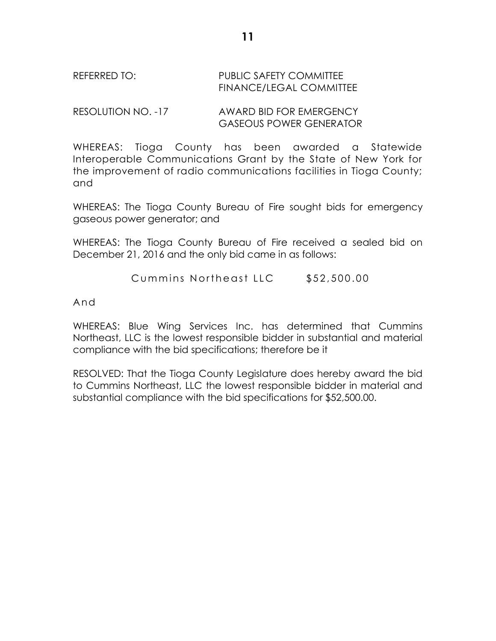### REFERRED TO: PUBLIC SAFETY COMMITTEE FINANCE/LEGAL COMMITTEE

RESOLUTION NO. -17 AWARD BID FOR EMERGENCY GASEOUS POWER GENERATOR

WHEREAS: Tioga County has been awarded a Statewide Interoperable Communications Grant by the State of New York for the improvement of radio communications facilities in Tioga County; and

WHEREAS: The Tioga County Bureau of Fire sought bids for emergency gaseous power generator; and

WHEREAS: The Tioga County Bureau of Fire received a sealed bid on December 21, 2016 and the only bid came in as follows:

Cummins Northeast LLC \$52,500.00

And

WHEREAS: Blue Wing Services Inc. has determined that Cummins Northeast, LLC is the lowest responsible bidder in substantial and material compliance with the bid specifications; therefore be it

RESOLVED: That the Tioga County Legislature does hereby award the bid to Cummins Northeast, LLC the lowest responsible bidder in material and substantial compliance with the bid specifications for \$52,500.00.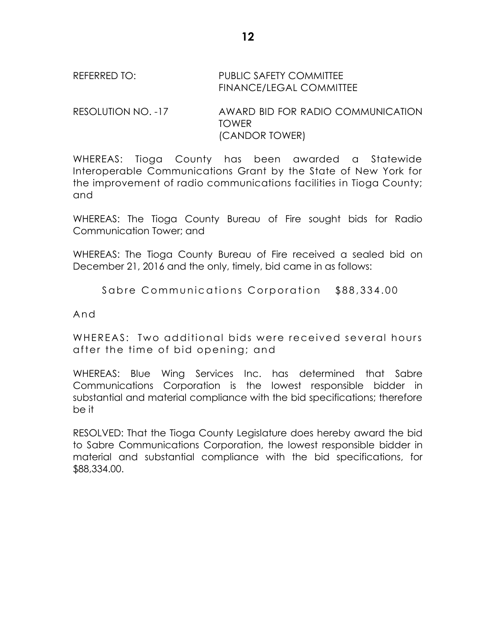## REFERRED TO: PUBLIC SAFETY COMMITTEE FINANCE/LEGAL COMMITTEE

RESOLUTION NO. -17 AWARD BID FOR RADIO COMMUNICATION TOWER (CANDOR TOWER)

WHEREAS: Tioga County has been awarded a Statewide Interoperable Communications Grant by the State of New York for the improvement of radio communications facilities in Tioga County; and

WHEREAS: The Tioga County Bureau of Fire sought bids for Radio Communication Tower; and

WHEREAS: The Tioga County Bureau of Fire received a sealed bid on December 21, 2016 and the only, timely, bid came in as follows:

Sabre Communications Corporation \$88,334.00

And

WHEREAS: Two additional bids were received several hours after the tim e of bid opening; and

WHEREAS: Blue Wing Services Inc. has determined that Sabre Communications Corporation is the lowest responsible bidder in substantial and material compliance with the bid specifications; therefore be it

RESOLVED: That the Tioga County Legislature does hereby award the bid to Sabre Communications Corporation, the lowest responsible bidder in material and substantial compliance with the bid specifications, for \$88,334.00.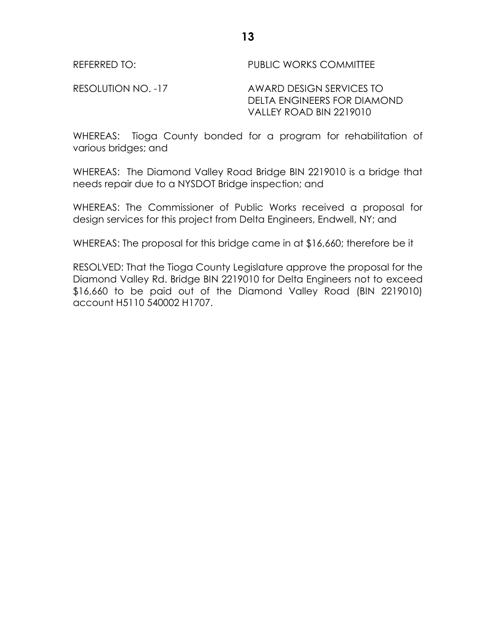RESOLUTION NO. -17 AWARD DESIGN SERVICES TO DELTA ENGINEERS FOR DIAMOND VALLEY ROAD BIN 2219010

WHEREAS: Tioga County bonded for a program for rehabilitation of various bridges; and

WHEREAS: The Diamond Valley Road Bridge BIN 2219010 is a bridge that needs repair due to a NYSDOT Bridge inspection; and

WHEREAS: The Commissioner of Public Works received a proposal for design services for this project from Delta Engineers, Endwell, NY; and

WHEREAS: The proposal for this bridge came in at \$16,660; therefore be it

RESOLVED: That the Tioga County Legislature approve the proposal for the Diamond Valley Rd. Bridge BIN 2219010 for Delta Engineers not to exceed \$16,660 to be paid out of the Diamond Valley Road (BIN 2219010) account H5110 540002 H1707.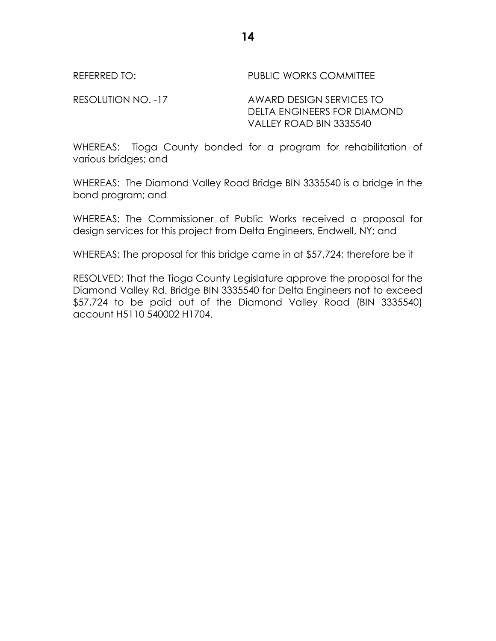RESOLUTION NO. -17 AWARD DESIGN SERVICES TO DELTA ENGINEERS FOR DIAMOND VALLEY ROAD BIN 3335540

WHEREAS: Tioga County bonded for a program for rehabilitation of various bridges; and

WHEREAS: The Diamond Valley Road Bridge BIN 3335540 is a bridge in the bond program; and

WHEREAS: The Commissioner of Public Works received a proposal for design services for this project from Delta Engineers, Endwell, NY; and

WHEREAS: The proposal for this bridge came in at \$57,724; therefore be it

RESOLVED: That the Tioga County Legislature approve the proposal for the Diamond Valley Rd. Bridge BIN 3335540 for Delta Engineers not to exceed \$57,724 to be paid out of the Diamond Valley Road (BIN 3335540) account H5110 540002 H1704.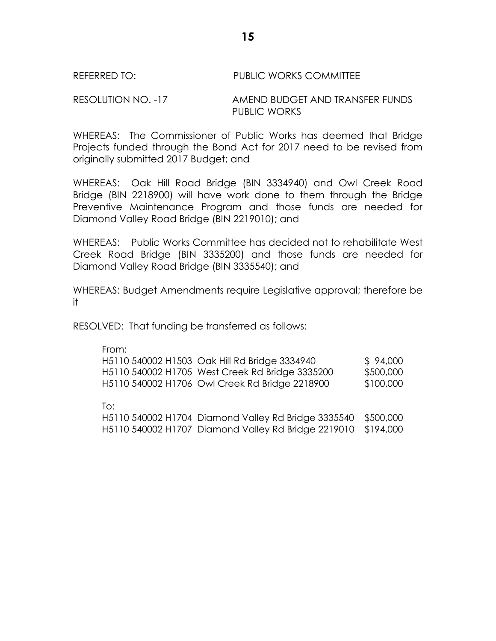RESOLUTION NO. -17 AMEND BUDGET AND TRANSFER FUNDS PUBLIC WORKS

WHEREAS: The Commissioner of Public Works has deemed that Bridge Projects funded through the Bond Act for 2017 need to be revised from originally submitted 2017 Budget; and

WHEREAS: Oak Hill Road Bridge (BIN 3334940) and Owl Creek Road Bridge (BIN 2218900) will have work done to them through the Bridge Preventive Maintenance Program and those funds are needed for Diamond Valley Road Bridge (BIN 2219010); and

WHEREAS: Public Works Committee has decided not to rehabilitate West Creek Road Bridge (BIN 3335200) and those funds are needed for Diamond Valley Road Bridge (BIN 3335540); and

WHEREAS: Budget Amendments require Legislative approval; therefore be it

RESOLVED: That funding be transferred as follows:

| From: |                                                     |           |
|-------|-----------------------------------------------------|-----------|
|       | H5110 540002 H1503 Oak Hill Rd Bridge 3334940       | \$94,000  |
|       | H5110 540002 H1705 West Creek Rd Bridge 3335200     | \$500,000 |
|       | H5110 540002 H1706 Owl Creek Rd Bridge 2218900      | \$100,000 |
|       |                                                     |           |
| To:   |                                                     |           |
|       | H5110 540002 H1704 Diamond Valley Rd Bridge 3335540 | \$500,000 |

H5110 540002 H1707 Diamond Valley Rd Bridge 2219010 \$194,000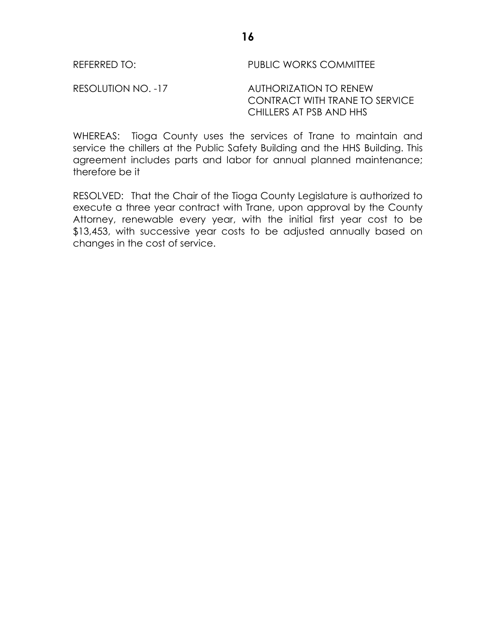REFERRED TO: The Second PUBLIC WORKS COMMITTEE

RESOLUTION NO. -17 AUTHORIZATION TO RENEW CONTRACT WITH TRANE TO SERVICE CHILLERS AT PSB AND HHS

WHEREAS: Tioga County uses the services of Trane to maintain and service the chillers at the Public Safety Building and the HHS Building. This agreement includes parts and labor for annual planned maintenance; therefore be it

RESOLVED: That the Chair of the Tioga County Legislature is authorized to execute a three year contract with Trane, upon approval by the County Attorney, renewable every year, with the initial first year cost to be \$13,453, with successive year costs to be adjusted annually based on changes in the cost of service.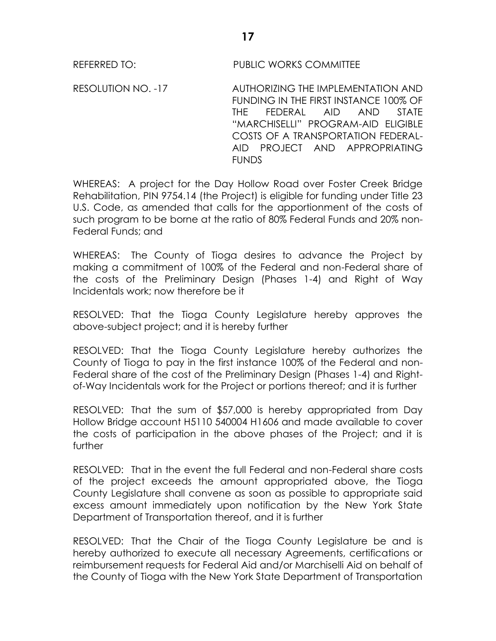RESOLUTION NO. -17 AUTHORIZING THE IMPLEMENTATION AND FUNDING IN THE FIRST INSTANCE 100% OF THE FEDERAL AID AND STATE "MARCHISELLI" PROGRAM-AID ELIGIBLE COSTS OF A TRANSPORTATION FEDERAL-AID PROJECT AND APPROPRIATING **FUNDS** 

WHEREAS: A project for the Day Hollow Road over Foster Creek Bridge Rehabilitation, PIN 9754.14 (the Project) is eligible for funding under Title 23 U.S. Code, as amended that calls for the apportionment of the costs of such program to be borne at the ratio of 80% Federal Funds and 20% non-Federal Funds; and

WHEREAS: The County of Tioga desires to advance the Project by making a commitment of 100% of the Federal and non-Federal share of the costs of the Preliminary Design (Phases 1-4) and Right of Way Incidentals work; now therefore be it

RESOLVED: That the Tioga County Legislature hereby approves the above-subject project; and it is hereby further

RESOLVED: That the Tioga County Legislature hereby authorizes the County of Tioga to pay in the first instance 100% of the Federal and non-Federal share of the cost of the Preliminary Design (Phases 1-4) and Rightof-Way Incidentals work for the Project or portions thereof; and it is further

RESOLVED: That the sum of \$57,000 is hereby appropriated from Day Hollow Bridge account H5110 540004 H1606 and made available to cover the costs of participation in the above phases of the Project; and it is further

RESOLVED: That in the event the full Federal and non-Federal share costs of the project exceeds the amount appropriated above, the Tioga County Legislature shall convene as soon as possible to appropriate said excess amount immediately upon notification by the New York State Department of Transportation thereof, and it is further

RESOLVED: That the Chair of the Tioga County Legislature be and is hereby authorized to execute all necessary Agreements, certifications or reimbursement requests for Federal Aid and/or Marchiselli Aid on behalf of the County of Tioga with the New York State Department of Transportation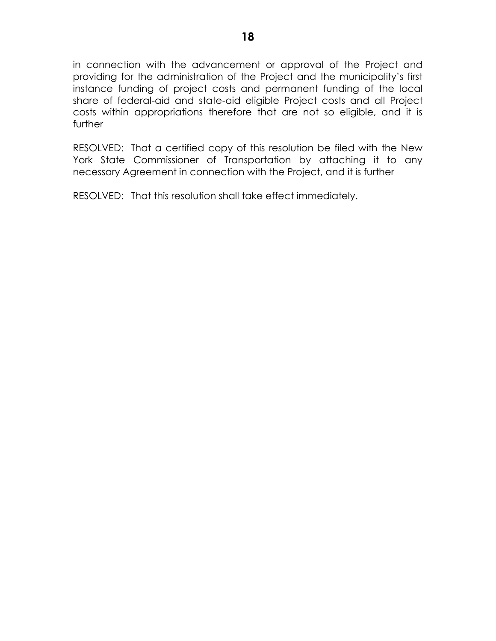in connection with the advancement or approval of the Project and providing for the administration of the Project and the municipality's first instance funding of project costs and permanent funding of the local share of federal-aid and state-aid eligible Project costs and all Project costs within appropriations therefore that are not so eligible, and it is further

RESOLVED: That a certified copy of this resolution be filed with the New York State Commissioner of Transportation by attaching it to any necessary Agreement in connection with the Project, and it is further

RESOLVED: That this resolution shall take effect immediately.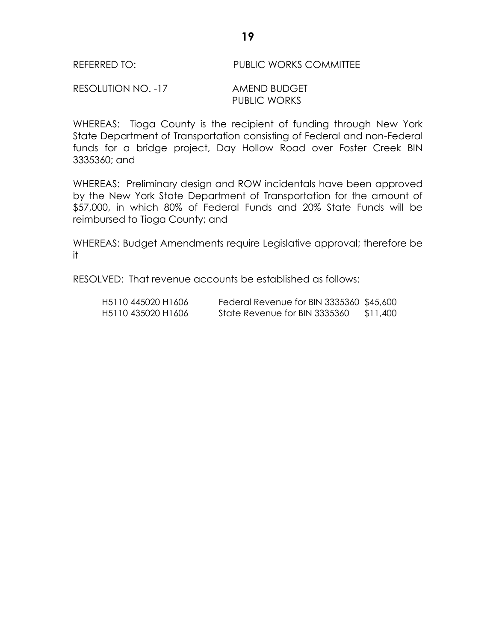#### RESOLUTION NO. -17 AMEND BUDGET PUBLIC WORKS

WHEREAS: Tioga County is the recipient of funding through New York State Department of Transportation consisting of Federal and non-Federal funds for a bridge project, Day Hollow Road over Foster Creek BIN 3335360; and

WHEREAS: Preliminary design and ROW incidentals have been approved by the New York State Department of Transportation for the amount of \$57,000, in which 80% of Federal Funds and 20% State Funds will be reimbursed to Tioga County; and

WHEREAS: Budget Amendments require Legislative approval; therefore be it

RESOLVED: That revenue accounts be established as follows:

| H5110 445020 H1606 | Federal Revenue for BIN 3335360 \$45,600 |          |
|--------------------|------------------------------------------|----------|
| H5110 435020 H1606 | State Revenue for BIN 3335360            | \$11,400 |